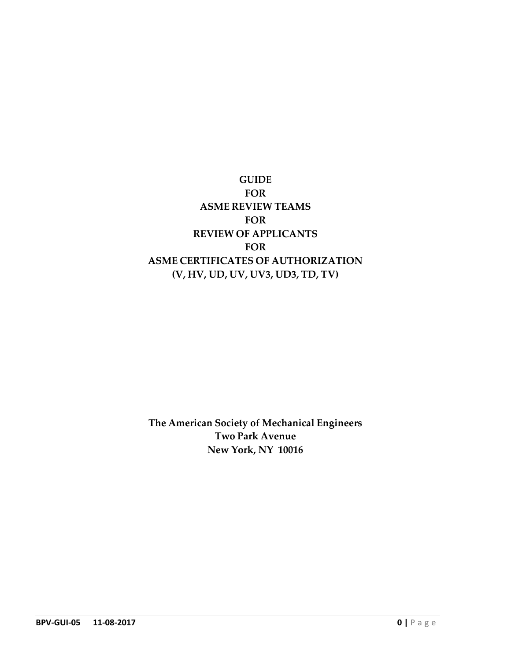# **GUIDE FOR ASME REVIEW TEAMS FOR REVIEW OF APPLICANTS FOR ASME CERTIFICATES OF AUTHORIZATION (V, HV, UD, UV, UV3, UD3, TD, TV)**

**The American Society of Mechanical Engineers Two Park Avenue New York, NY 10016**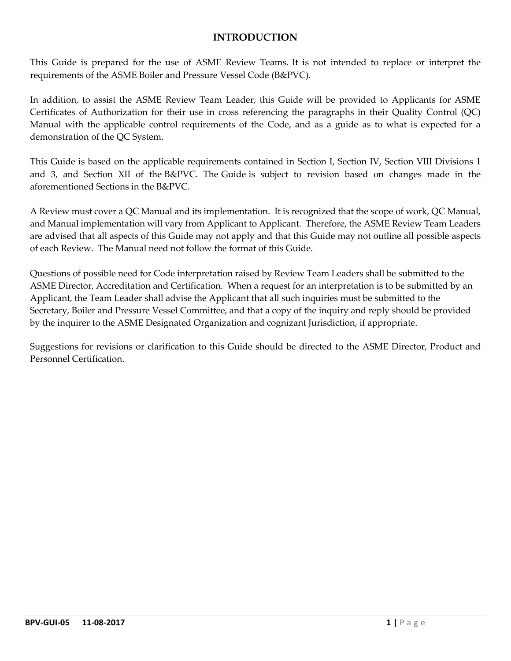#### **INTRODUCTION**

This Guide is prepared for the use of ASME Review Teams. It is not intended to replace or interpret the requirements of the ASME Boiler and Pressure Vessel Code (B&PVC).

In addition, to assist the ASME Review Team Leader, this Guide will be provided to Applicants for ASME Certificates of Authorization for their use in cross referencing the paragraphs in their Quality Control (QC) Manual with the applicable control requirements of the Code, and as a guide as to what is expected for a demonstration of the QC System.

This Guide is based on the applicable requirements contained in Section I, Section IV, Section VIII Divisions 1 and 3, and Section XII of the B&PVC. The Guide is subject to revision based on changes made in the aforementioned Sections in the B&PVC.

A Review must cover a QC Manual and its implementation. It is recognized that the scope of work, QC Manual, and Manual implementation will vary from Applicant to Applicant. Therefore, the ASME Review Team Leaders are advised that all aspects of this Guide may not apply and that this Guide may not outline all possible aspects of each Review. The Manual need not follow the format of this Guide.

Questions of possible need for Code interpretation raised by Review Team Leaders shall be submitted to the ASME Director, Accreditation and Certification. When a request for an interpretation is to be submitted by an Applicant, the Team Leader shall advise the Applicant that all such inquiries must be submitted to the Secretary, Boiler and Pressure Vessel Committee, and that a copy of the inquiry and reply should be provided by the inquirer to the ASME Designated Organization and cognizant Jurisdiction, if appropriate.

Suggestions for revisions or clarification to this Guide should be directed to the ASME Director, Product and Personnel Certification.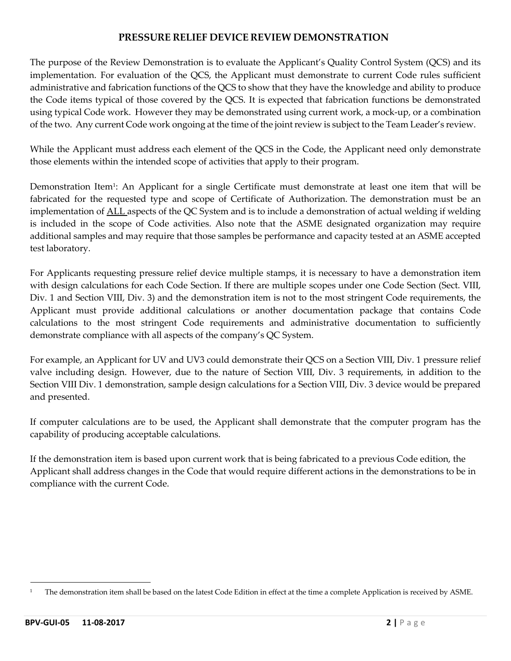#### **PRESSURE RELIEF DEVICE REVIEW DEMONSTRATION**

The purpose of the Review Demonstration is to evaluate the Applicant's Quality Control System (QCS) and its implementation. For evaluation of the QCS, the Applicant must demonstrate to current Code rules sufficient administrative and fabrication functions of the QCS to show that they have the knowledge and ability to produce the Code items typical of those covered by the QCS. It is expected that fabrication functions be demonstrated using typical Code work. However they may be demonstrated using current work, a mock‐up, or a combination of the two. Any current Code work ongoing at the time of the jointreview is subject to the Team Leader's review.

While the Applicant must address each element of the QCS in the Code, the Applicant need only demonstrate those elements within the intended scope of activities that apply to their program.

Demonstration Item<sup>1</sup>: An Applicant for a single Certificate must demonstrate at least one item that will be fabricated for the requested type and scope of Certificate of Authorization. The demonstration must be an implementation of ALL aspects of the QC System and is to include a demonstration of actual welding if welding is included in the scope of Code activities. Also note that the ASME designated organization may require additional samples and may require that those samples be performance and capacity tested at an ASME accepted test laboratory.

For Applicants requesting pressure relief device multiple stamps, it is necessary to have a demonstration item with design calculations for each Code Section. If there are multiple scopes under one Code Section (Sect. VIII, Div. 1 and Section VIII, Div. 3) and the demonstration item is not to the most stringent Code requirements, the Applicant must provide additional calculations or another documentation package that contains Code calculations to the most stringent Code requirements and administrative documentation to sufficiently demonstrate compliance with all aspects of the company's QC System.

For example, an Applicant for UV and UV3 could demonstrate their QCS on a Section VIII, Div. 1 pressure relief valve including design. However, due to the nature of Section VIII, Div. 3 requirements, in addition to the Section VIII Div. 1 demonstration, sample design calculations for a Section VIII, Div. 3 device would be prepared and presented.

If computer calculations are to be used, the Applicant shall demonstrate that the computer program has the capability of producing acceptable calculations.

If the demonstration item is based upon current work that is being fabricated to a previous Code edition, the Applicant shall address changes in the Code that would require different actions in the demonstrations to be in compliance with the current Code.

<sup>&</sup>lt;sup>1</sup> The demonstration item shall be based on the latest Code Edition in effect at the time a complete Application is received by ASME.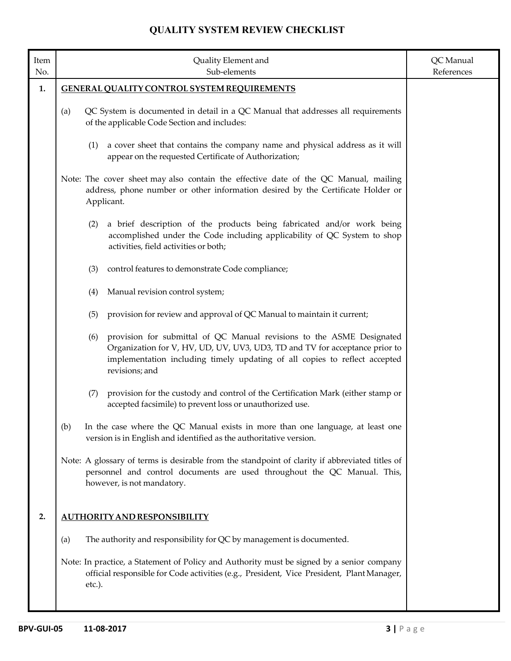| Item<br>No. | Quality Element and<br>Sub-elements                                                                                                                                                                                                                         | QC Manual<br>References |
|-------------|-------------------------------------------------------------------------------------------------------------------------------------------------------------------------------------------------------------------------------------------------------------|-------------------------|
| 1.          | <b>GENERAL QUALITY CONTROL SYSTEM REQUIREMENTS</b>                                                                                                                                                                                                          |                         |
|             | QC System is documented in detail in a QC Manual that addresses all requirements<br>(a)<br>of the applicable Code Section and includes:                                                                                                                     |                         |
|             | a cover sheet that contains the company name and physical address as it will<br>(1)<br>appear on the requested Certificate of Authorization;                                                                                                                |                         |
|             | Note: The cover sheet may also contain the effective date of the QC Manual, mailing<br>address, phone number or other information desired by the Certificate Holder or<br>Applicant.                                                                        |                         |
|             | a brief description of the products being fabricated and/or work being<br>(2)<br>accomplished under the Code including applicability of QC System to shop<br>activities, field activities or both;                                                          |                         |
|             | (3)<br>control features to demonstrate Code compliance;                                                                                                                                                                                                     |                         |
|             | Manual revision control system;<br>(4)                                                                                                                                                                                                                      |                         |
|             | provision for review and approval of QC Manual to maintain it current;<br>(5)                                                                                                                                                                               |                         |
|             | provision for submittal of QC Manual revisions to the ASME Designated<br>(6)<br>Organization for V, HV, UD, UV, UV3, UD3, TD and TV for acceptance prior to<br>implementation including timely updating of all copies to reflect accepted<br>revisions; and |                         |
|             | provision for the custody and control of the Certification Mark (either stamp or<br>(7)<br>accepted facsimile) to prevent loss or unauthorized use.                                                                                                         |                         |
|             | (b)<br>In the case where the QC Manual exists in more than one language, at least one<br>version is in English and identified as the authoritative version.                                                                                                 |                         |
|             | Note: A glossary of terms is desirable from the standpoint of clarity if abbreviated titles of<br>personnel and control documents are used throughout the QC Manual. This,<br>however, is not mandatory.                                                    |                         |
| 2.          | <b>AUTHORITY AND RESPONSIBILITY</b>                                                                                                                                                                                                                         |                         |
|             | The authority and responsibility for QC by management is documented.<br>(a)                                                                                                                                                                                 |                         |
|             | Note: In practice, a Statement of Policy and Authority must be signed by a senior company<br>official responsible for Code activities (e.g., President, Vice President, Plant Manager,<br>etc.).                                                            |                         |
|             |                                                                                                                                                                                                                                                             |                         |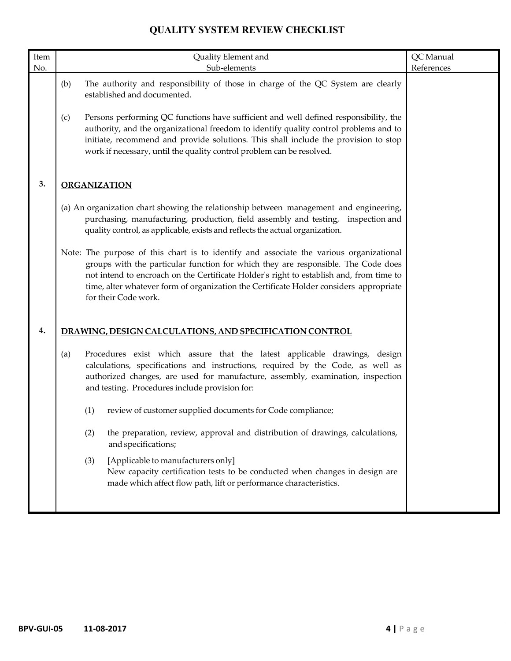| Item |     | Quality Element and                                                                                                                                                                                                                                                                                                                                                                       | QC Manual  |
|------|-----|-------------------------------------------------------------------------------------------------------------------------------------------------------------------------------------------------------------------------------------------------------------------------------------------------------------------------------------------------------------------------------------------|------------|
| No.  |     | Sub-elements                                                                                                                                                                                                                                                                                                                                                                              | References |
|      | (b) | The authority and responsibility of those in charge of the QC System are clearly<br>established and documented.                                                                                                                                                                                                                                                                           |            |
|      | (c) | Persons performing QC functions have sufficient and well defined responsibility, the<br>authority, and the organizational freedom to identify quality control problems and to<br>initiate, recommend and provide solutions. This shall include the provision to stop<br>work if necessary, until the quality control problem can be resolved.                                             |            |
| 3.   |     | <b>ORGANIZATION</b>                                                                                                                                                                                                                                                                                                                                                                       |            |
|      |     | (a) An organization chart showing the relationship between management and engineering,<br>purchasing, manufacturing, production, field assembly and testing, inspection and<br>quality control, as applicable, exists and reflects the actual organization.                                                                                                                               |            |
|      |     | Note: The purpose of this chart is to identify and associate the various organizational<br>groups with the particular function for which they are responsible. The Code does<br>not intend to encroach on the Certificate Holder's right to establish and, from time to<br>time, alter whatever form of organization the Certificate Holder considers appropriate<br>for their Code work. |            |
| 4.   |     | DRAWING, DESIGN CALCULATIONS, AND SPECIFICATION CONTROL                                                                                                                                                                                                                                                                                                                                   |            |
|      | (a) | Procedures exist which assure that the latest applicable drawings, design<br>calculations, specifications and instructions, required by the Code, as well as<br>authorized changes, are used for manufacture, assembly, examination, inspection<br>and testing. Procedures include provision for:                                                                                         |            |
|      |     | review of customer supplied documents for Code compliance;<br>(1)                                                                                                                                                                                                                                                                                                                         |            |
|      |     | (2)<br>the preparation, review, approval and distribution of drawings, calculations,<br>and specifications;                                                                                                                                                                                                                                                                               |            |
|      |     | [Applicable to manufacturers only]<br>(3)<br>New capacity certification tests to be conducted when changes in design are<br>made which affect flow path, lift or performance characteristics.                                                                                                                                                                                             |            |
|      |     |                                                                                                                                                                                                                                                                                                                                                                                           |            |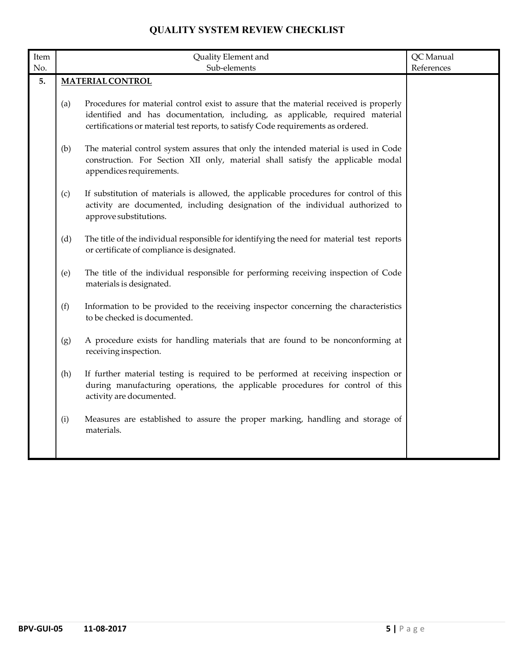| $\mbox{Item}$ |     | Quality Element and                                                                                                                                                                                                                                          | QC Manual  |
|---------------|-----|--------------------------------------------------------------------------------------------------------------------------------------------------------------------------------------------------------------------------------------------------------------|------------|
| No.           |     | Sub-elements                                                                                                                                                                                                                                                 | References |
| 5.            |     | <b>MATERIAL CONTROL</b>                                                                                                                                                                                                                                      |            |
|               | (a) | Procedures for material control exist to assure that the material received is properly<br>identified and has documentation, including, as applicable, required material<br>certifications or material test reports, to satisfy Code requirements as ordered. |            |
|               | (b) | The material control system assures that only the intended material is used in Code<br>construction. For Section XII only, material shall satisfy the applicable modal<br>appendices requirements.                                                           |            |
|               | (c) | If substitution of materials is allowed, the applicable procedures for control of this<br>activity are documented, including designation of the individual authorized to<br>approve substitutions.                                                           |            |
|               | (d) | The title of the individual responsible for identifying the need for material test reports<br>or certificate of compliance is designated.                                                                                                                    |            |
|               | (e) | The title of the individual responsible for performing receiving inspection of Code<br>materials is designated.                                                                                                                                              |            |
|               | (f) | Information to be provided to the receiving inspector concerning the characteristics<br>to be checked is documented.                                                                                                                                         |            |
|               | (g) | A procedure exists for handling materials that are found to be nonconforming at<br>receiving inspection.                                                                                                                                                     |            |
|               | (h) | If further material testing is required to be performed at receiving inspection or<br>during manufacturing operations, the applicable procedures for control of this<br>activity are documented.                                                             |            |
|               | (i) | Measures are established to assure the proper marking, handling and storage of<br>materials.                                                                                                                                                                 |            |
|               |     |                                                                                                                                                                                                                                                              |            |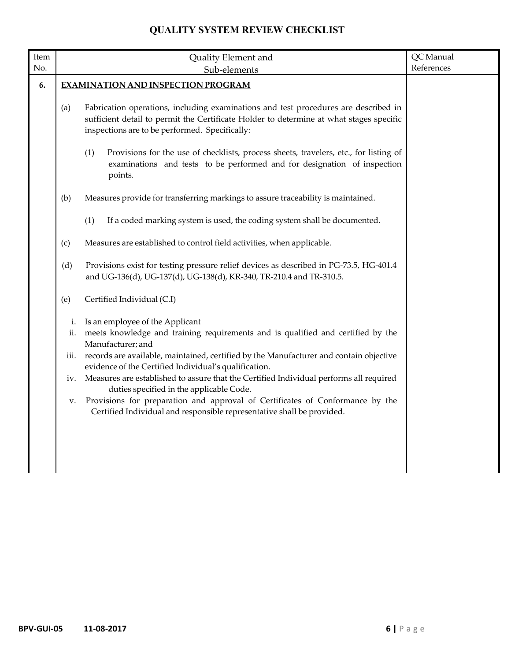|                                | Quality Element and                                                                                                                                                                                                                                                                                                                                                                                                                                                                                                                                                                         | QC Manual                                                                                                                                 |
|--------------------------------|---------------------------------------------------------------------------------------------------------------------------------------------------------------------------------------------------------------------------------------------------------------------------------------------------------------------------------------------------------------------------------------------------------------------------------------------------------------------------------------------------------------------------------------------------------------------------------------------|-------------------------------------------------------------------------------------------------------------------------------------------|
|                                | Sub-elements                                                                                                                                                                                                                                                                                                                                                                                                                                                                                                                                                                                | References                                                                                                                                |
|                                |                                                                                                                                                                                                                                                                                                                                                                                                                                                                                                                                                                                             |                                                                                                                                           |
| (a)                            | Fabrication operations, including examinations and test procedures are described in<br>sufficient detail to permit the Certificate Holder to determine at what stages specific<br>inspections are to be performed. Specifically:                                                                                                                                                                                                                                                                                                                                                            |                                                                                                                                           |
|                                | examinations and tests to be performed and for designation of inspection<br>points.                                                                                                                                                                                                                                                                                                                                                                                                                                                                                                         |                                                                                                                                           |
| (b)                            | Measures provide for transferring markings to assure traceability is maintained.                                                                                                                                                                                                                                                                                                                                                                                                                                                                                                            |                                                                                                                                           |
|                                | (1)<br>If a coded marking system is used, the coding system shall be documented.                                                                                                                                                                                                                                                                                                                                                                                                                                                                                                            |                                                                                                                                           |
| (c)                            | Measures are established to control field activities, when applicable.                                                                                                                                                                                                                                                                                                                                                                                                                                                                                                                      |                                                                                                                                           |
| (d)                            | Provisions exist for testing pressure relief devices as described in PG-73.5, HG-401.4<br>and UG-136(d), UG-137(d), UG-138(d), KR-340, TR-210.4 and TR-310.5.                                                                                                                                                                                                                                                                                                                                                                                                                               |                                                                                                                                           |
| (e)                            | Certified Individual (C.I)                                                                                                                                                                                                                                                                                                                                                                                                                                                                                                                                                                  |                                                                                                                                           |
| i.<br>ii.<br>111.<br>iv.<br>v. | Is an employee of the Applicant<br>meets knowledge and training requirements and is qualified and certified by the<br>Manufacturer; and<br>records are available, maintained, certified by the Manufacturer and contain objective<br>evidence of the Certified Individual's qualification.<br>Measures are established to assure that the Certified Individual performs all required<br>duties specified in the applicable Code.<br>Provisions for preparation and approval of Certificates of Conformance by the<br>Certified Individual and responsible representative shall be provided. |                                                                                                                                           |
|                                |                                                                                                                                                                                                                                                                                                                                                                                                                                                                                                                                                                                             | <b>EXAMINATION AND INSPECTION PROGRAM</b><br>(1)<br>Provisions for the use of checklists, process sheets, travelers, etc., for listing of |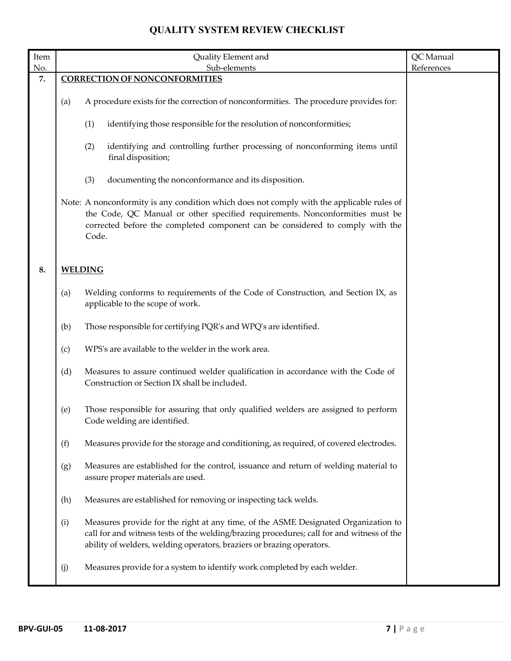| Item |     | Quality Element and                                                                                                                                                                                                                                                 | QC Manual  |
|------|-----|---------------------------------------------------------------------------------------------------------------------------------------------------------------------------------------------------------------------------------------------------------------------|------------|
| No.  |     | Sub-elements                                                                                                                                                                                                                                                        | References |
| 7.   |     | <b>CORRECTION OF NONCONFORMITIES</b>                                                                                                                                                                                                                                |            |
|      | (a) | A procedure exists for the correction of nonconformities. The procedure provides for:                                                                                                                                                                               |            |
|      |     | (1)<br>identifying those responsible for the resolution of nonconformities;                                                                                                                                                                                         |            |
|      |     | (2)<br>identifying and controlling further processing of nonconforming items until<br>final disposition;                                                                                                                                                            |            |
|      |     | (3)<br>documenting the nonconformance and its disposition.                                                                                                                                                                                                          |            |
|      |     | Note: A nonconformity is any condition which does not comply with the applicable rules of<br>the Code, QC Manual or other specified requirements. Nonconformities must be<br>corrected before the completed component can be considered to comply with the<br>Code. |            |
| 8.   |     | <b>WELDING</b>                                                                                                                                                                                                                                                      |            |
|      | (a) | Welding conforms to requirements of the Code of Construction, and Section IX, as<br>applicable to the scope of work.                                                                                                                                                |            |
|      | (b) | Those responsible for certifying PQR's and WPQ's are identified.                                                                                                                                                                                                    |            |
|      | (c) | WPS's are available to the welder in the work area.                                                                                                                                                                                                                 |            |
|      | (d) | Measures to assure continued welder qualification in accordance with the Code of<br>Construction or Section IX shall be included.                                                                                                                                   |            |
|      | (e) | Those responsible for assuring that only qualified welders are assigned to perform<br>Code welding are identified.                                                                                                                                                  |            |
|      | (f) | Measures provide for the storage and conditioning, as required, of covered electrodes.                                                                                                                                                                              |            |
|      | (g) | Measures are established for the control, issuance and return of welding material to<br>assure proper materials are used.                                                                                                                                           |            |
|      | (h) | Measures are established for removing or inspecting tack welds.                                                                                                                                                                                                     |            |
|      | (i) | Measures provide for the right at any time, of the ASME Designated Organization to<br>call for and witness tests of the welding/brazing procedures; call for and witness of the<br>ability of welders, welding operators, braziers or brazing operators.            |            |
|      | (j) | Measures provide for a system to identify work completed by each welder.                                                                                                                                                                                            |            |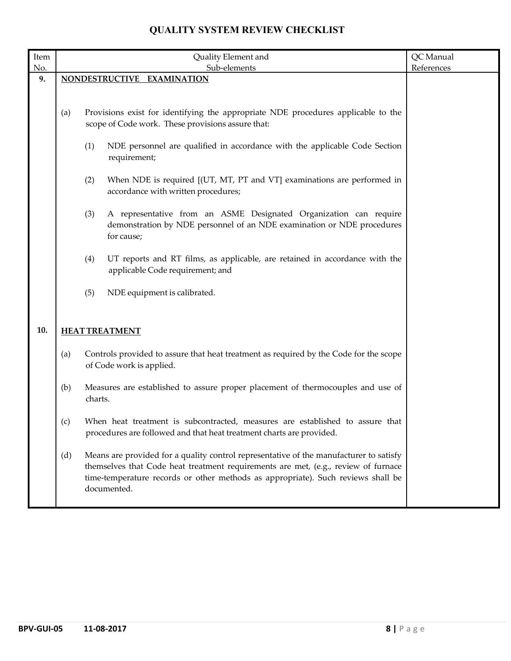| Item |     | Quality Element and                                                                                                                                                                                                                                                             | QC Manual  |
|------|-----|---------------------------------------------------------------------------------------------------------------------------------------------------------------------------------------------------------------------------------------------------------------------------------|------------|
| No.  |     | Sub-elements                                                                                                                                                                                                                                                                    | References |
| 9.   |     | NONDESTRUCTIVE EXAMINATION                                                                                                                                                                                                                                                      |            |
|      |     |                                                                                                                                                                                                                                                                                 |            |
|      | (a) | Provisions exist for identifying the appropriate NDE procedures applicable to the<br>scope of Code work. These provisions assure that:                                                                                                                                          |            |
|      |     | (1)<br>NDE personnel are qualified in accordance with the applicable Code Section<br>requirement;                                                                                                                                                                               |            |
|      |     | When NDE is required [(UT, MT, PT and VT] examinations are performed in<br>(2)<br>accordance with written procedures;                                                                                                                                                           |            |
|      |     | (3)<br>A representative from an ASME Designated Organization can require<br>demonstration by NDE personnel of an NDE examination or NDE procedures<br>for cause;                                                                                                                |            |
|      |     | UT reports and RT films, as applicable, are retained in accordance with the<br>(4)<br>applicable Code requirement; and                                                                                                                                                          |            |
|      |     | NDE equipment is calibrated.<br>(5)                                                                                                                                                                                                                                             |            |
| 10.  |     | <b>HEAT TREATMENT</b>                                                                                                                                                                                                                                                           |            |
|      | (a) | Controls provided to assure that heat treatment as required by the Code for the scope<br>of Code work is applied.                                                                                                                                                               |            |
|      | (b) | Measures are established to assure proper placement of thermocouples and use of<br>charts.                                                                                                                                                                                      |            |
|      | (c) | When heat treatment is subcontracted, measures are established to assure that<br>procedures are followed and that heat treatment charts are provided.                                                                                                                           |            |
|      | (d) | Means are provided for a quality control representative of the manufacturer to satisfy<br>themselves that Code heat treatment requirements are met, (e.g., review of furnace<br>time-temperature records or other methods as appropriate). Such reviews shall be<br>documented. |            |